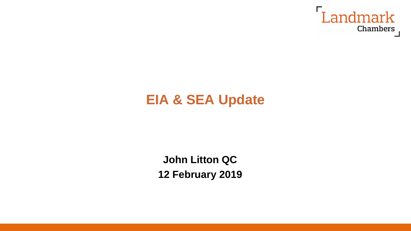

# **EIA & SEA Update**

**John Litton QC 12 February 2019**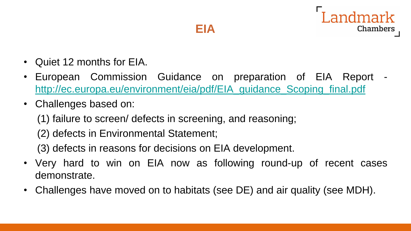

- Quiet 12 months for EIA.
- European Commission Guidance on preparation of EIA Report [http://ec.europa.eu/environment/eia/pdf/EIA\\_guidance\\_Scoping\\_final.pdf](http://ec.europa.eu/environment/eia/pdf/EIA_guidance_Scoping_final.pdf)
- Challenges based on:
	- (1) failure to screen/ defects in screening, and reasoning;
	- (2) defects in Environmental Statement;
	- (3) defects in reasons for decisions on EIA development.
- Very hard to win on EIA now as following round-up of recent cases demonstrate.
- Challenges have moved on to habitats (see DE) and air quality (see MDH).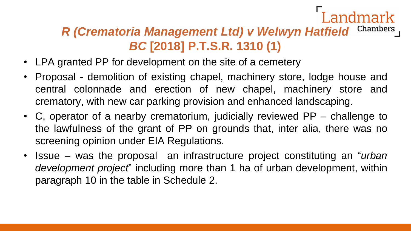#### *R (Crematoria Management Ltd) v Welwyn Hatfield* Chambers *BC* **[2018] P.T.S.R. 1310 (1)**

- LPA granted PP for development on the site of a cemetery
- Proposal demolition of existing chapel, machinery store, lodge house and central colonnade and erection of new chapel, machinery store and crematory, with new car parking provision and enhanced landscaping.
- C, operator of a nearby crematorium, judicially reviewed PP challenge to the lawfulness of the grant of PP on grounds that, inter alia, there was no screening opinion under EIA Regulations.
- Issue was the proposal an infrastructure project constituting an "*urban development project*" including more than 1 ha of urban development, within paragraph 10 in the table in Schedule 2.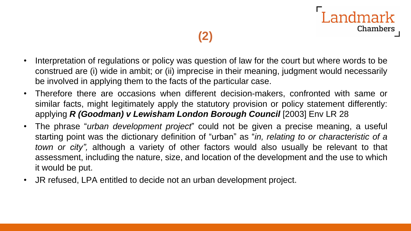



- Interpretation of regulations or policy was question of law for the court but where words to be construed are (i) wide in ambit; or (ii) imprecise in their meaning, judgment would necessarily be involved in applying them to the facts of the particular case.
- Therefore there are occasions when different decision-makers, confronted with same or similar facts, might legitimately apply the statutory provision or policy statement differently: applying *R (Goodman) v Lewisham London Borough Council* [2003] Env LR 28
- The phrase "*urban development project*" could not be given a precise meaning, a useful starting point was the dictionary definition of "urban" as "*in, relating to or characteristic of a town or city",* although a variety of other factors would also usually be relevant to that assessment, including the nature, size, and location of the development and the use to which it would be put.
- JR refused, LPA entitled to decide not an urban development project.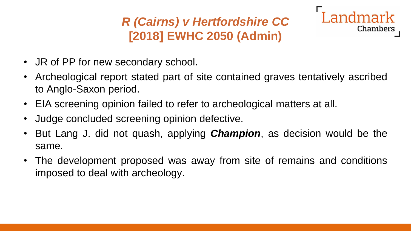## *R (Cairns) v Hertfordshire CC* **[2018] EWHC 2050 (Admin)**



- JR of PP for new secondary school.
- Archeological report stated part of site contained graves tentatively ascribed to Anglo-Saxon period.
- EIA screening opinion failed to refer to archeological matters at all.
- Judge concluded screening opinion defective.
- But Lang J. did not quash, applying *Champion*, as decision would be the same.
- The development proposed was away from site of remains and conditions imposed to deal with archeology.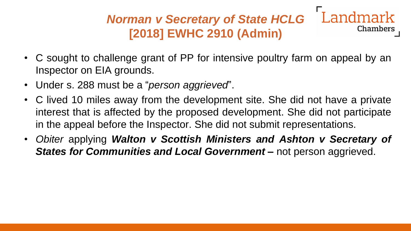#### Landmark *Norman v Secretary of State HCLG* Chambers **[2018] EWHC 2910 (Admin)**

- C sought to challenge grant of PP for intensive poultry farm on appeal by an Inspector on EIA grounds.
- Under s. 288 must be a "*person aggrieved*".
- C lived 10 miles away from the development site. She did not have a private interest that is affected by the proposed development. She did not participate in the appeal before the Inspector. She did not submit representations.
- *Obiter* applying *Walton v Scottish Ministers and Ashton v Secretary of States for Communities and Local Government –* not person aggrieved.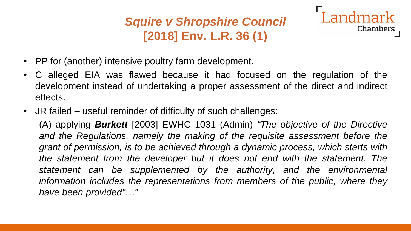## *Squire v Shropshire Council* **[2018] Env. L.R. 36 (1)**

Landmark

**Chambers** 

- PP for (another) intensive poultry farm development.
- C alleged EIA was flawed because it had focused on the regulation of the development instead of undertaking a proper assessment of the direct and indirect effects.
- JR failed useful reminder of difficulty of such challenges:

(A) applying *Burkett* [2003] EWHC 1031 (Admin) *"The objective of the Directive and the Regulations, namely the making of the requisite assessment before the grant of permission, is to be achieved through a dynamic process, which starts with the statement from the developer but it does not end with the statement. The statement can be supplemented by the authority, and the environmental information includes the representations from members of the public, where they have been provided"…"*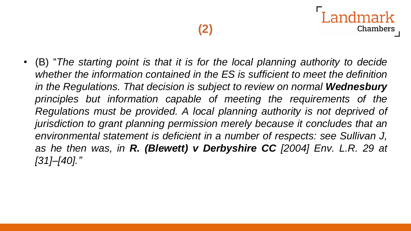• (B) "*The starting point is that it is for the local planning authority to decide whether the information contained in the ES is sufficient to meet the definition in the Regulations. That decision is subject to review on normal Wednesbury principles but information capable of meeting the requirements of the Regulations must be provided. A local planning authority is not deprived of jurisdiction to grant planning permission merely because it concludes that an environmental statement is deficient in a number of respects: see Sullivan J, as he then was, in R. (Blewett) v Derbyshire CC [2004] Env. L.R. 29 at [31]–[40]."*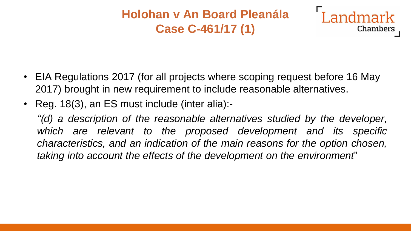#### **Holohan v An Board Pleanála Case C-461/17 (1)**



- EIA Regulations 2017 (for all projects where scoping request before 16 May 2017) brought in new requirement to include reasonable alternatives.
- Reg. 18(3), an ES must include (inter alia):-

*"(d) a description of the reasonable alternatives studied by the developer, which are relevant to the proposed development and its specific characteristics, and an indication of the main reasons for the option chosen, taking into account the effects of the development on the environment*"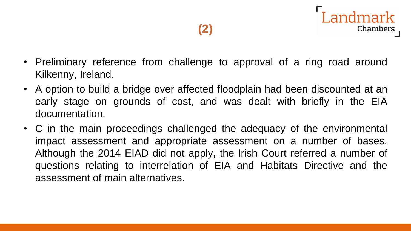ndmark

- Preliminary reference from challenge to approval of a ring road around Kilkenny, Ireland.
- A option to build a bridge over affected floodplain had been discounted at an early stage on grounds of cost, and was dealt with briefly in the EIA documentation.
- C in the main proceedings challenged the adequacy of the environmental impact assessment and appropriate assessment on a number of bases. Although the 2014 EIAD did not apply, the Irish Court referred a number of questions relating to interrelation of EIA and Habitats Directive and the assessment of main alternatives.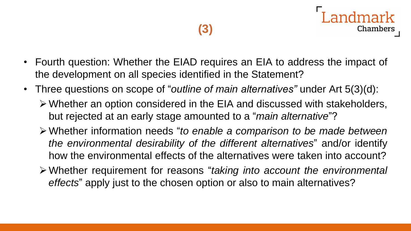- Fourth question: Whether the EIAD requires an EIA to address the impact of the development on all species identified in the Statement?
- Three questions on scope of "*outline of main alternatives"* under Art 5(3)(d):
	- ➢Whether an option considered in the EIA and discussed with stakeholders, but rejected at an early stage amounted to a "*main alternative*"?
	- ➢Whether information needs "*to enable a comparison to be made between the environmental desirability of the different alternatives*" and/or identify how the environmental effects of the alternatives were taken into account?
	- ➢Whether requirement for reasons "*taking into account the environmental effects*" apply just to the chosen option or also to main alternatives?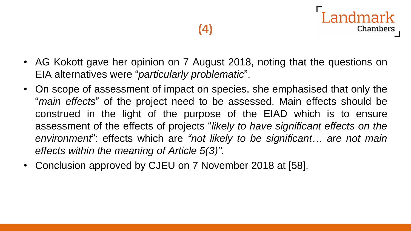andmark

- AG Kokott gave her opinion on 7 August 2018, noting that the questions on EIA alternatives were "*particularly problematic*".
- On scope of assessment of impact on species, she emphasised that only the "*main effects*" of the project need to be assessed. Main effects should be construed in the light of the purpose of the EIAD which is to ensure assessment of the effects of projects "*likely to have significant effects on the environment*": effects which are *"not likely to be significant… are not main effects within the meaning of Article 5(3)".*
- Conclusion approved by CJEU on 7 November 2018 at [58].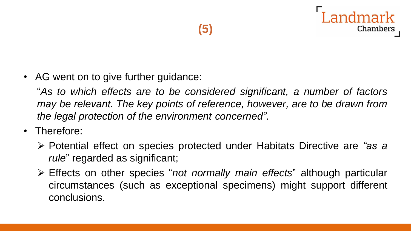



"*As to which effects are to be considered significant, a number of factors may be relevant. The key points of reference, however, are to be drawn from the legal protection of the environment concerned"*.

- Therefore:
	- ➢ Potential effect on species protected under Habitats Directive are *"as a rule*" regarded as significant;
	- ➢ Effects on other species "*not normally main effects*" although particular circumstances (such as exceptional specimens) might support different conclusions.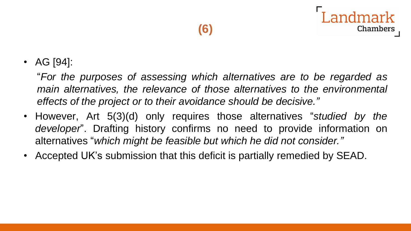• AG [94]:

"*For the purposes of assessing which alternatives are to be regarded as main alternatives, the relevance of those alternatives to the environmental effects of the project or to their avoidance should be decisive."*

- However, Art 5(3)(d) only requires those alternatives "*studied by the developer*". Drafting history confirms no need to provide information on alternatives "*which might be feasible but which he did not consider."*
- Accepted UK's submission that this deficit is partially remedied by SEAD.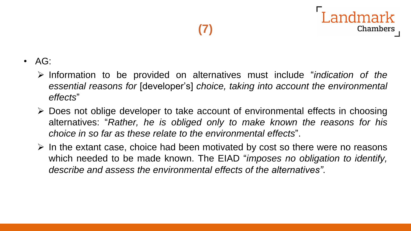- AG:
	- ➢ Information to be provided on alternatives must include "*indication of the essential reasons for* [developer's] *choice, taking into account the environmental effects*"
	- ➢ Does not oblige developer to take account of environmental effects in choosing alternatives: "*Rather, he is obliged only to make known the reasons for his choice in so far as these relate to the environmental effects*".
	- $\triangleright$  In the extant case, choice had been motivated by cost so there were no reasons which needed to be made known. The EIAD "*imposes no obligation to identify, describe and assess the environmental effects of the alternatives"*.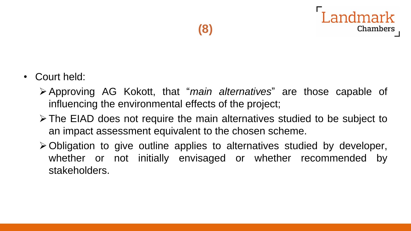

- Court held:
	- ➢Approving AG Kokott, that "*main alternatives*" are those capable of influencing the environmental effects of the project;
	- ➢The EIAD does not require the main alternatives studied to be subject to an impact assessment equivalent to the chosen scheme.
	- ➢Obligation to give outline applies to alternatives studied by developer, whether or not initially envisaged or whether recommended by stakeholders.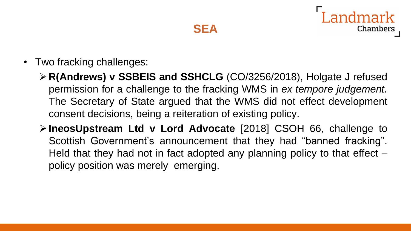

• Two fracking challenges:

➢**R(Andrews) v SSBEIS and SSHCLG** (CO/3256/2018), Holgate J refused permission for a challenge to the fracking WMS in *ex tempore judgement.* The Secretary of State argued that the WMS did not effect development consent decisions, being a reiteration of existing policy.

➢**IneosUpstream Ltd v Lord Advocate** [2018] CSOH 66, challenge to Scottish Government's announcement that they had "banned fracking". Held that they had not in fact adopted any planning policy to that effect policy position was merely emerging.